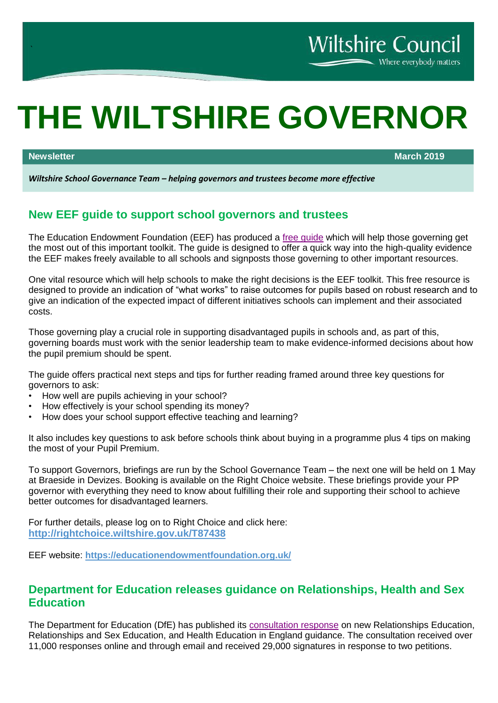# **THE WILTSHIRE GOVERNOR**

**Newsletter March 2019**

Where everybody matters

**Wiltshire Council** 

*Wiltshire School Governance Team – helping governors and trustees become more effective*

# **New EEF guide to support school governors and trustees**

The Education Endowment Foundation (EEF) has produced a free quide which will help those governing get the most out of this important toolkit. The guide is designed to offer a quick way into the high-quality evidence the EEF makes freely available to all schools and signposts those governing to other important resources.

One vital resource which will help schools to make the right decisions is the EEF toolkit. This free resource is designed to provide an indication of "what works" to raise outcomes for pupils based on robust research and to give an indication of the expected impact of different initiatives schools can implement and their associated costs.

Those governing play a crucial role in supporting disadvantaged pupils in schools and, as part of this, governing boards must work with the senior leadership team to make evidence-informed decisions about how the pupil premium should be spent.

The guide offers practical next steps and tips for further reading framed around three key questions for governors to ask:

- How well are pupils achieving in your school?
- How effectively is your school spending its money?
- How does your school support effective teaching and learning?

It also includes key questions to ask before schools think about buying in a programme plus 4 tips on making the most of your Pupil Premium.

To support Governors, briefings are run by the School Governance Team – the next one will be held on 1 May at Braeside in Devizes. Booking is available on the Right Choice website. These briefings provide your PP governor with everything they need to know about fulfilling their role and supporting their school to achieve better outcomes for disadvantaged learners.

For further details, please log on to Right Choice and click here: **<http://rightchoice.wiltshire.gov.uk/T87438>**

EEF website: **<https://educationendowmentfoundation.org.uk/>**

## **Department for Education releases guidance on Relationships, Health and Sex Education**

The Department for Education (DfE) has published its [consultation response](https://www.gov.uk/government/consultations/relationships-and-sex-education-and-health-education) on new Relationships Education, Relationships and Sex Education, and Health Education in England guidance. The consultation received over 11,000 responses online and through email and received 29,000 signatures in response to two petitions.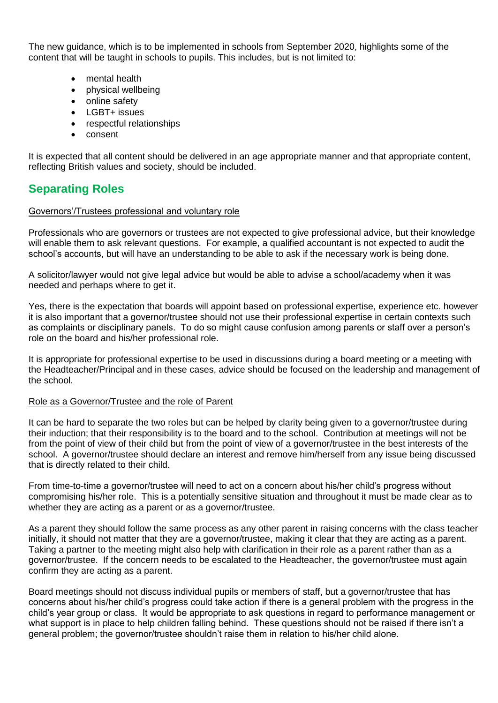The new guidance, which is to be implemented in schools from September 2020, highlights some of the content that will be taught in schools to pupils. This includes, but is not limited to:

- mental health
- physical wellbeing
- online safety
- LGBT+ issues
- respectful relationships
- consent

It is expected that all content should be delivered in an age appropriate manner and that appropriate content, reflecting British values and society, should be included.

# **Separating Roles**

#### Governors'/Trustees professional and voluntary role

Professionals who are governors or trustees are not expected to give professional advice, but their knowledge will enable them to ask relevant questions. For example, a qualified accountant is not expected to audit the school's accounts, but will have an understanding to be able to ask if the necessary work is being done.

A solicitor/lawyer would not give legal advice but would be able to advise a school/academy when it was needed and perhaps where to get it.

Yes, there is the expectation that boards will appoint based on professional expertise, experience etc. however it is also important that a governor/trustee should not use their professional expertise in certain contexts such as complaints or disciplinary panels. To do so might cause confusion among parents or staff over a person's role on the board and his/her professional role.

It is appropriate for professional expertise to be used in discussions during a board meeting or a meeting with the Headteacher/Principal and in these cases, advice should be focused on the leadership and management of the school.

#### Role as a Governor/Trustee and the role of Parent

It can be hard to separate the two roles but can be helped by clarity being given to a governor/trustee during their induction; that their responsibility is to the board and to the school. Contribution at meetings will not be from the point of view of their child but from the point of view of a governor/trustee in the best interests of the school. A governor/trustee should declare an interest and remove him/herself from any issue being discussed that is directly related to their child.

From time-to-time a governor/trustee will need to act on a concern about his/her child's progress without compromising his/her role. This is a potentially sensitive situation and throughout it must be made clear as to whether they are acting as a parent or as a governor/trustee.

As a parent they should follow the same process as any other parent in raising concerns with the class teacher initially, it should not matter that they are a governor/trustee, making it clear that they are acting as a parent. Taking a partner to the meeting might also help with clarification in their role as a parent rather than as a governor/trustee. If the concern needs to be escalated to the Headteacher, the governor/trustee must again confirm they are acting as a parent.

Board meetings should not discuss individual pupils or members of staff, but a governor/trustee that has concerns about his/her child's progress could take action if there is a general problem with the progress in the child's year group or class. It would be appropriate to ask questions in regard to performance management or what support is in place to help children falling behind. These questions should not be raised if there isn't a general problem; the governor/trustee shouldn't raise them in relation to his/her child alone.